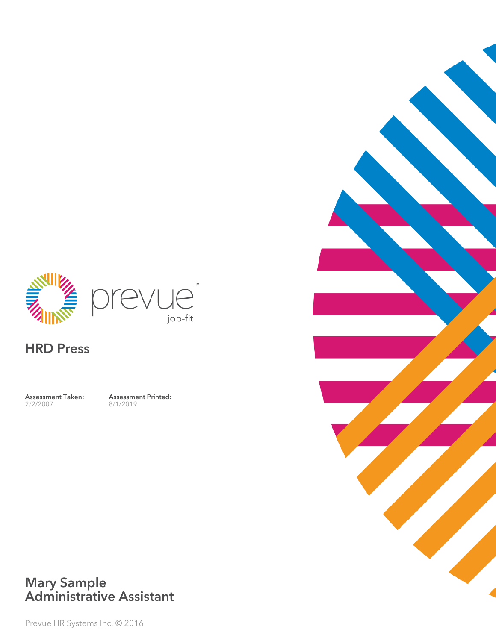

## HRD Press

Assessment Taken: 2/2/2007

Assessment Printed: 8/1/2019



#### Mary Sample Administrative Assistant

Prevue HR Systems Inc. © 2016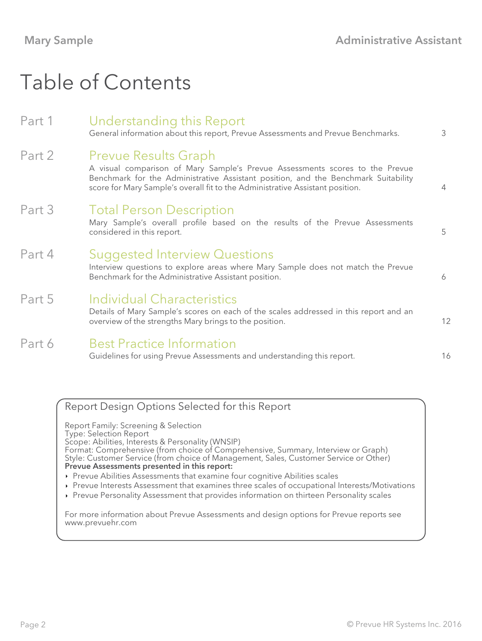# Table of Contents

| Part 1 | Understanding this Report<br>General information about this report, Prevue Assessments and Prevue Benchmarks.                                                                                                                                                                      | 3  |
|--------|------------------------------------------------------------------------------------------------------------------------------------------------------------------------------------------------------------------------------------------------------------------------------------|----|
| Part 2 | <b>Prevue Results Graph</b><br>A visual comparison of Mary Sample's Prevue Assessments scores to the Prevue<br>Benchmark for the Administrative Assistant position, and the Benchmark Suitability<br>score for Mary Sample's overall fit to the Administrative Assistant position. | 4  |
| Part 3 | <b>Total Person Description</b><br>Mary Sample's overall profile based on the results of the Prevue Assessments<br>considered in this report.                                                                                                                                      | 5  |
| Part 4 | <b>Suggested Interview Questions</b><br>Interview questions to explore areas where Mary Sample does not match the Prevue<br>Benchmark for the Administrative Assistant position.                                                                                                   | 6  |
| Part 5 | Individual Characteristics<br>Details of Mary Sample's scores on each of the scales addressed in this report and an<br>overview of the strengths Mary brings to the position.                                                                                                      | 12 |
| Part 6 | <b>Best Practice Information</b><br>Guidelines for using Prevue Assessments and understanding this report.                                                                                                                                                                         | 16 |

### Report Design Options Selected for this Report

Report Family: Screening & Selection Type: Selection Report Scope: Abilities, Interests & Personality (WNSIP) Format: Comprehensive (from choice of Comprehensive, Summary, Interview or Graph) Style: Customer Service (from choice of Management, Sales, Customer Service or Other) Prevue Assessments presented in this report:

- Prevue Abilities Assessments that examine four cognitive Abilities scales
- Prevue Interests Assessment that examines three scales of occupational Interests/Motivations
- Prevue Personality Assessment that provides information on thirteen Personality scales

For more information about Prevue Assessments and design options for Prevue reports see www.prevuehr.com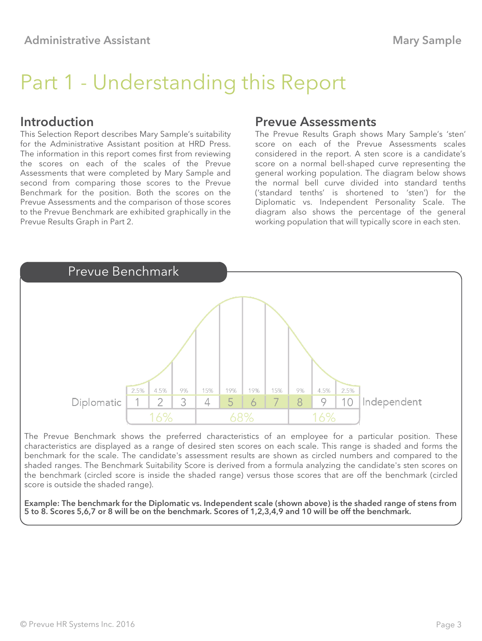# Part 1 - Understanding this Report

#### Introduction

This Selection Report describes Mary Sample's suitability for the Administrative Assistant position at HRD Press. The information in this report comes first from reviewing the scores on each of the scales of the Prevue Assessments that were completed by Mary Sample and second from comparing those scores to the Prevue Benchmark for the position. Both the scores on the Prevue Assessments and the comparison of those scores to the Prevue Benchmark are exhibited graphically in the Prevue Results Graph in Part 2.

#### Prevue Assessments

The Prevue Results Graph shows Mary Sample's 'sten' score on each of the Prevue Assessments scales considered in the report. A sten score is a candidate's score on a normal bell-shaped curve representing the general working population. The diagram below shows the normal bell curve divided into standard tenths ('standard tenths' is shortened to 'sten') for the Diplomatic vs. Independent Personality Scale. The diagram also shows the percentage of the general working population that will typically score in each sten.



The Prevue Benchmark shows the preferred characteristics of an employee for a particular position. These characteristics are displayed as a range of desired sten scores on each scale. This range is shaded and forms the benchmark for the scale. The candidate's assessment results are shown as circled numbers and compared to the shaded ranges. The Benchmark Suitability Score is derived from a formula analyzing the candidate's sten scores on the benchmark (circled score is inside the shaded range) versus those scores that are off the benchmark (circled score is outside the shaded range).

Example: The benchmark for the Diplomatic vs. Independent scale (shown above) is the shaded range of stens from 5 to 8. Scores 5,6,7 or 8 will be on the benchmark. Scores of 1,2,3,4,9 and 10 will be off the benchmark.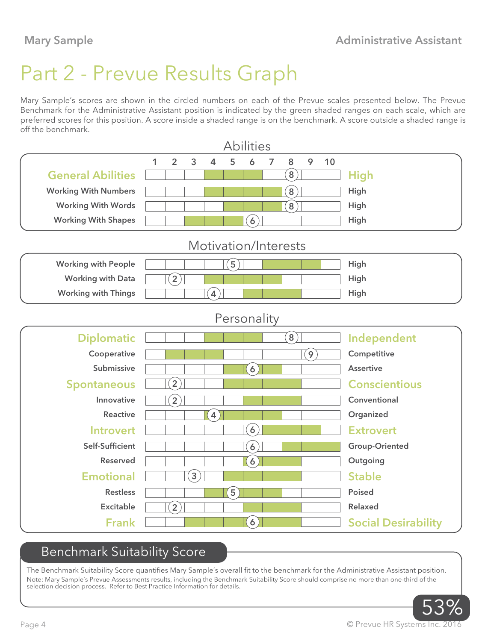# Part 2 - Prevue Results Graph

Mary Sample's scores are shown in the circled numbers on each of the Prevue scales presented below. The Prevue Benchmark for the Administrative Assistant position is indicated by the green shaded ranges on each scale, which are preferred scores for this position. A score inside a shaded range is on the benchmark. A score outside a shaded range is off the benchmark.

|                             |   |                   |                  |                   |                                   | <b>Abilities</b>  |   |                            |                |    |                            |
|-----------------------------|---|-------------------|------------------|-------------------|-----------------------------------|-------------------|---|----------------------------|----------------|----|----------------------------|
|                             | 1 | $\overline{2}$    | 3                | $\overline{4}$    | 5                                 | 6                 | 7 | 8                          | 9              | 10 |                            |
| <b>General Abilities</b>    |   |                   |                  |                   |                                   |                   |   | $\left[8\right)$           |                |    | <b>High</b>                |
| <b>Working With Numbers</b> |   |                   |                  |                   |                                   |                   |   | $\left[8\right]$           |                |    | High                       |
| <b>Working With Words</b>   |   |                   |                  |                   |                                   |                   |   | $\left[8\right)$           |                |    | High                       |
| <b>Working With Shapes</b>  |   |                   |                  |                   |                                   | $\left( 6\right)$ |   |                            |                |    | High                       |
|                             |   |                   |                  |                   |                                   |                   |   | Motivation/Interests       |                |    |                            |
| <b>Working with People</b>  |   |                   |                  |                   | $\left[5\right]$                  |                   |   |                            |                |    | High                       |
| <b>Working with Data</b>    |   | $\mathbf{[2]}$    |                  |                   |                                   |                   |   |                            |                |    | High                       |
| <b>Working with Things</b>  |   |                   |                  | $\left( 4\right)$ |                                   |                   |   |                            |                |    | High                       |
|                             |   |                   |                  |                   |                                   | Personality       |   |                            |                |    |                            |
| <b>Diplomatic</b>           |   |                   |                  |                   |                                   |                   |   | $\left( \textbf{8}\right)$ |                |    | Independent                |
| Cooperative                 |   |                   |                  |                   |                                   |                   |   |                            | $\overline{9}$ |    | Competitive                |
| Submissive                  |   |                   |                  |                   |                                   | $\left( 6\right)$ |   |                            |                |    | <b>Assertive</b>           |
| <b>Spontaneous</b>          |   | $\overline{2}$    |                  |                   |                                   |                   |   |                            |                |    | <b>Conscientious</b>       |
| Innovative                  |   | $\boxed{2}$       |                  |                   |                                   |                   |   |                            |                |    | Conventional               |
| <b>Reactive</b>             |   |                   |                  | $\left( 4\right)$ |                                   |                   |   |                            |                |    | Organized                  |
| <b>Introvert</b>            |   |                   |                  |                   |                                   | $\left[6\right)$  |   |                            |                |    | <b>Extrovert</b>           |
| Self-Sufficient             |   |                   |                  |                   |                                   | $\overline{6}$    |   |                            |                |    | <b>Group-Oriented</b>      |
| <b>Reserved</b>             |   |                   |                  |                   |                                   | $\boxed{6}$       |   |                            |                |    | Outgoing                   |
| <b>Emotional</b>            |   |                   | $\left[3\right]$ |                   |                                   |                   |   |                            |                |    | <b>Stable</b>              |
| <b>Restless</b>             |   |                   |                  |                   | $\begin{bmatrix} 5 \end{bmatrix}$ |                   |   |                            |                |    | <b>Poised</b>              |
| <b>Excitable</b>            |   | $\left[ 2\right)$ |                  |                   |                                   |                   |   |                            |                |    | <b>Relaxed</b>             |
| <b>Frank</b>                |   |                   |                  |                   |                                   | $\left( 6\right)$ |   |                            |                |    | <b>Social Desirability</b> |

## Benchmark Suitability Score

The Benchmark Suitability Score quantifies Mary Sample's overall fit to the benchmark for the Administrative Assistant position. Note: Mary Sample's Prevue Assessments results, including the Benchmark Suitability Score should comprise no more than one-third of the selection decision process. Refer to Best Practice Information for details.

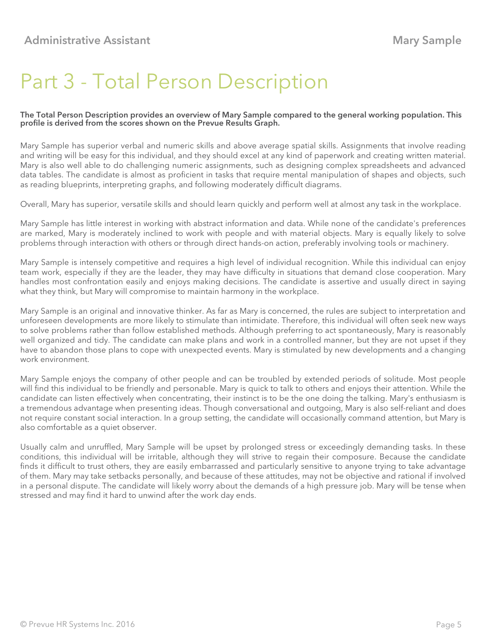# Part 3 - Total Person Description

#### The Total Person Description provides an overview of Mary Sample compared to the general working population. This profile is derived from the scores shown on the Prevue Results Graph.

Mary Sample has superior verbal and numeric skills and above average spatial skills. Assignments that involve reading and writing will be easy for this individual, and they should excel at any kind of paperwork and creating written material. Mary is also well able to do challenging numeric assignments, such as designing complex spreadsheets and advanced data tables. The candidate is almost as proficient in tasks that require mental manipulation of shapes and objects, such as reading blueprints, interpreting graphs, and following moderately difficult diagrams.

Overall, Mary has superior, versatile skills and should learn quickly and perform well at almost any task in the workplace.

Mary Sample has little interest in working with abstract information and data. While none of the candidate's preferences are marked, Mary is moderately inclined to work with people and with material objects. Mary is equally likely to solve problems through interaction with others or through direct hands-on action, preferably involving tools or machinery.

Mary Sample is intensely competitive and requires a high level of individual recognition. While this individual can enjoy team work, especially if they are the leader, they may have difficulty in situations that demand close cooperation. Mary handles most confrontation easily and enjoys making decisions. The candidate is assertive and usually direct in saying what they think, but Mary will compromise to maintain harmony in the workplace.

Mary Sample is an original and innovative thinker. As far as Mary is concerned, the rules are subject to interpretation and unforeseen developments are more likely to stimulate than intimidate. Therefore, this individual will often seek new ways to solve problems rather than follow established methods. Although preferring to act spontaneously, Mary is reasonably well organized and tidy. The candidate can make plans and work in a controlled manner, but they are not upset if they have to abandon those plans to cope with unexpected events. Mary is stimulated by new developments and a changing work environment.

Mary Sample enjoys the company of other people and can be troubled by extended periods of solitude. Most people will find this individual to be friendly and personable. Mary is quick to talk to others and enjoys their attention. While the candidate can listen effectively when concentrating, their instinct is to be the one doing the talking. Mary's enthusiasm is a tremendous advantage when presenting ideas. Though conversational and outgoing, Mary is also self-reliant and does not require constant social interaction. In a group setting, the candidate will occasionally command attention, but Mary is also comfortable as a quiet observer.

Usually calm and unruffled, Mary Sample will be upset by prolonged stress or exceedingly demanding tasks. In these conditions, this individual will be irritable, although they will strive to regain their composure. Because the candidate finds it difficult to trust others, they are easily embarrassed and particularly sensitive to anyone trying to take advantage of them. Mary may take setbacks personally, and because of these attitudes, may not be objective and rational if involved in a personal dispute. The candidate will likely worry about the demands of a high pressure job. Mary will be tense when stressed and may find it hard to unwind after the work day ends.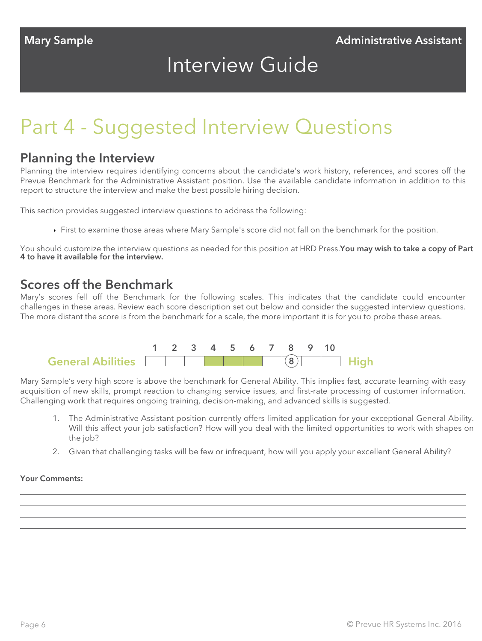# Interview Guide

# Part 4 - Suggested Interview Questions

#### Planning the Interview

Planning the interview requires identifying concerns about the candidate's work history, references, and scores off the Prevue Benchmark for the Administrative Assistant position. Use the available candidate information in addition to this report to structure the interview and make the best possible hiring decision.

This section provides suggested interview questions to address the following:

First to examine those areas where Mary Sample's score did not fall on the benchmark for the position.

You should customize the interview questions as needed for this position at HRD Press. You may wish to take a copy of Part 4 to have it available for the interview.

#### Scores off the Benchmark

Mary's scores fell off the Benchmark for the following scales. This indicates that the candidate could encounter challenges in these areas. Review each score description set out below and consider the suggested interview questions. The more distant the score is from the benchmark for a scale, the more important it is for you to probe these areas.



Mary Sample's very high score is above the benchmark for General Ability. This implies fast, accurate learning with easy acquisition of new skills, prompt reaction to changing service issues, and first-rate processing of customer information. Challenging work that requires ongoing training, decision-making, and advanced skills is suggested.

- 1. The Administrative Assistant position currently offers limited application for your exceptional General Ability. Will this affect your job satisfaction? How will you deal with the limited opportunities to work with shapes on the job?
- 2. Given that challenging tasks will be few or infrequent, how will you apply your excellent General Ability?

#### Your Comments: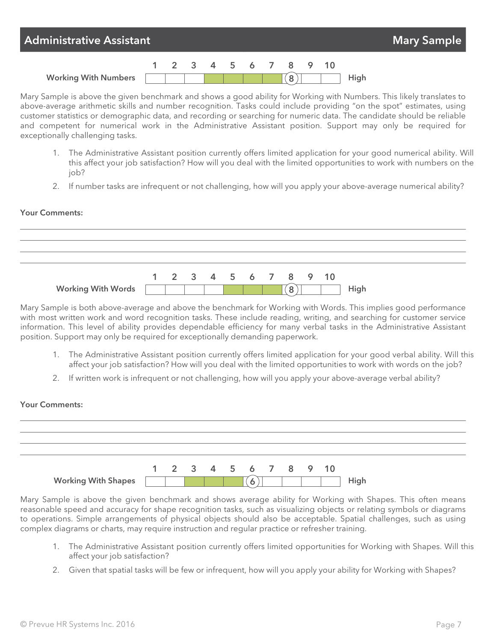

Mary Sample is above the given benchmark and shows a good ability for Working with Numbers. This likely translates to above-average arithmetic skills and number recognition. Tasks could include providing "on the spot" estimates, using customer statistics or demographic data, and recording or searching for numeric data. The candidate should be reliable and competent for numerical work in the Administrative Assistant position. Support may only be required for exceptionally challenging tasks.

- 1. The Administrative Assistant position currently offers limited application for your good numerical ability. Will this affect your job satisfaction? How will you deal with the limited opportunities to work with numbers on the job?
- 2. If number tasks are infrequent or not challenging, how will you apply your above-average numerical ability?

#### Your Comments:



Mary Sample is both above-average and above the benchmark for Working with Words. This implies good performance with most written work and word recognition tasks. These include reading, writing, and searching for customer service information. This level of ability provides dependable efficiency for many verbal tasks in the Administrative Assistant position. Support may only be required for exceptionally demanding paperwork.

- 1. The Administrative Assistant position currently offers limited application for your good verbal ability. Will this affect your job satisfaction? How will you deal with the limited opportunities to work with words on the job?
- 2. If written work is infrequent or not challenging, how will you apply your above-average verbal ability?



Mary Sample is above the given benchmark and shows average ability for Working with Shapes. This often means reasonable speed and accuracy for shape recognition tasks, such as visualizing objects or relating symbols or diagrams to operations. Simple arrangements of physical objects should also be acceptable. Spatial challenges, such as using complex diagrams or charts, may require instruction and regular practice or refresher training.

- 1. The Administrative Assistant position currently offers limited opportunities for Working with Shapes. Will this affect your job satisfaction?
- 2. Given that spatial tasks will be few or infrequent, how will you apply your ability for Working with Shapes?

#### © Prevue HR Systems Inc. 2016 Page 7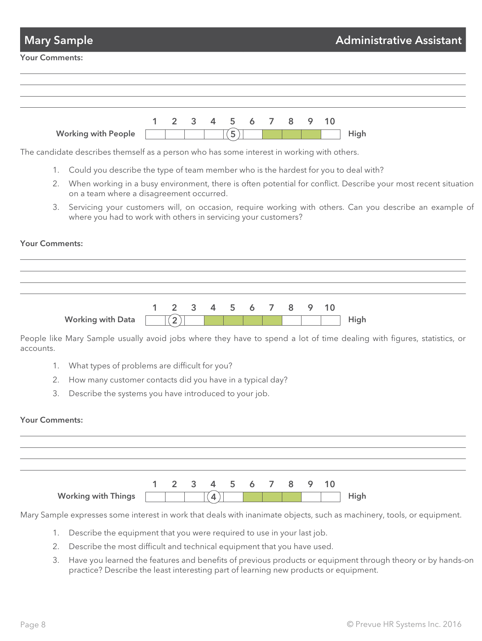| <b>Mary Sample</b>    |                                                                                            |   |                |   |                |                     |   |   |   |   |    | <b>Administrative Assistant</b>                                                                                        |
|-----------------------|--------------------------------------------------------------------------------------------|---|----------------|---|----------------|---------------------|---|---|---|---|----|------------------------------------------------------------------------------------------------------------------------|
| <b>Your Comments:</b> |                                                                                            |   |                |   |                |                     |   |   |   |   |    |                                                                                                                        |
|                       |                                                                                            |   |                |   |                |                     |   |   |   |   |    |                                                                                                                        |
|                       |                                                                                            |   |                |   |                |                     |   |   |   |   |    |                                                                                                                        |
|                       | <b>Working with People</b>                                                                 | 1 | $\overline{2}$ | 3 | 4              | 5<br>$\overline{5}$ | 6 | 7 | 8 | 9 | 10 | High                                                                                                                   |
|                       | The candidate describes themself as a person who has some interest in working with others. |   |                |   |                |                     |   |   |   |   |    |                                                                                                                        |
| 1.                    | Could you describe the type of team member who is the hardest for you to deal with?        |   |                |   |                |                     |   |   |   |   |    |                                                                                                                        |
| 2.                    | on a team where a disagreement occurred.                                                   |   |                |   |                |                     |   |   |   |   |    | When working in a busy environment, there is often potential for conflict. Describe your most recent situation         |
| 3.                    | where you had to work with others in servicing your customers?                             |   |                |   |                |                     |   |   |   |   |    | Servicing your customers will, on occasion, require working with others. Can you describe an example of                |
| <b>Your Comments:</b> |                                                                                            |   |                |   |                |                     |   |   |   |   |    |                                                                                                                        |
|                       |                                                                                            |   |                |   |                |                     |   |   |   |   |    |                                                                                                                        |
|                       |                                                                                            |   |                |   |                |                     |   |   |   |   |    |                                                                                                                        |
|                       |                                                                                            |   |                |   |                |                     |   |   |   |   |    |                                                                                                                        |
|                       |                                                                                            | 1 | 2              | 3 | $\overline{4}$ | 5                   | 6 | 7 | 8 | 9 | 10 |                                                                                                                        |
|                       | <b>Working with Data</b>                                                                   |   | $\overline{2}$ |   |                |                     |   |   |   |   |    | High                                                                                                                   |
| accounts.             |                                                                                            |   |                |   |                |                     |   |   |   |   |    | People like Mary Sample usually avoid jobs where they have to spend a lot of time dealing with figures, statistics, or |
| 1.                    | What types of problems are difficult for you?                                              |   |                |   |                |                     |   |   |   |   |    |                                                                                                                        |
| 2.                    | How many customer contacts did you have in a typical day?                                  |   |                |   |                |                     |   |   |   |   |    |                                                                                                                        |
| 3.                    | Describe the systems you have introduced to your job.                                      |   |                |   |                |                     |   |   |   |   |    |                                                                                                                        |
|                       |                                                                                            |   |                |   |                |                     |   |   |   |   |    |                                                                                                                        |
| <b>Your Comments:</b> |                                                                                            |   |                |   |                |                     |   |   |   |   |    |                                                                                                                        |
|                       |                                                                                            |   |                |   |                |                     |   |   |   |   |    |                                                                                                                        |
|                       |                                                                                            |   |                |   |                |                     |   |   |   |   |    |                                                                                                                        |
|                       |                                                                                            |   |                |   |                |                     |   |   |   |   |    |                                                                                                                        |
|                       |                                                                                            | 1 | 2              | 3 |                | 5                   | 6 | 7 | 8 | 9 | 10 |                                                                                                                        |
|                       | <b>Working with Things</b>                                                                 |   |                |   | 4              |                     |   |   |   |   |    | High                                                                                                                   |
|                       |                                                                                            |   |                |   |                |                     |   |   |   |   |    | Mary Sample expresses some interest in work that deals with inanimate objects, such as machinery, tools, or equipment. |
| 1.                    | Describe the equipment that you were required to use in your last job.                     |   |                |   |                |                     |   |   |   |   |    |                                                                                                                        |
| 2.                    | Describe the most difficult and technical equipment that you have used.                    |   |                |   |                |                     |   |   |   |   |    |                                                                                                                        |
| 3.                    |                                                                                            |   |                |   |                |                     |   |   |   |   |    | Have you learned the features and benefits of previous products or equipment through theory or by hands-on             |
|                       | practice? Describe the least interesting part of learning new products or equipment.       |   |                |   |                |                     |   |   |   |   |    |                                                                                                                        |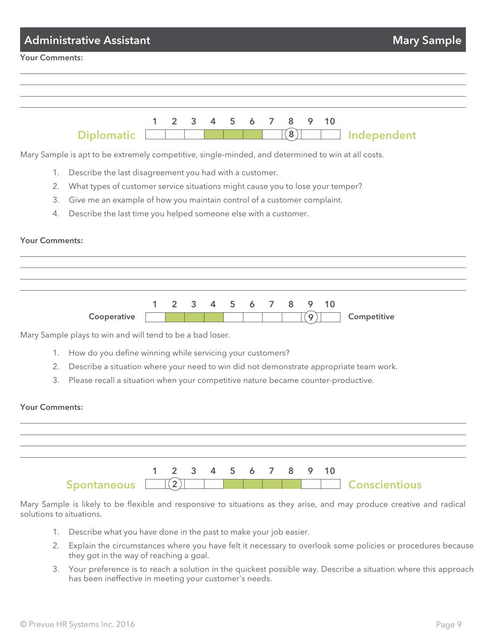| <b>Administrative Assistant</b>                                                                                                                       | <b>Mary Sample</b> |
|-------------------------------------------------------------------------------------------------------------------------------------------------------|--------------------|
| <b>Your Comments:</b>                                                                                                                                 |                    |
|                                                                                                                                                       |                    |
|                                                                                                                                                       |                    |
|                                                                                                                                                       |                    |
| 1<br>2<br>3<br>$\overline{4}$<br>5<br>6<br>$\overline{7}$<br>8<br>9<br>10<br>$\left( \textbf{8}\right)$<br>Independent<br><b>Diplomatic</b>           |                    |
|                                                                                                                                                       |                    |
| Mary Sample is apt to be extremely competitive, single-minded, and determined to win at all costs.                                                    |                    |
| Describe the last disagreement you had with a customer.<br>1.<br>What types of customer service situations might cause you to lose your temper?<br>2. |                    |
| 3.<br>Give me an example of how you maintain control of a customer complaint.                                                                         |                    |
| Describe the last time you helped someone else with a customer.<br>4.                                                                                 |                    |
|                                                                                                                                                       |                    |
| <b>Your Comments:</b>                                                                                                                                 |                    |
|                                                                                                                                                       |                    |
|                                                                                                                                                       |                    |
|                                                                                                                                                       |                    |
| 1<br>$\overline{2}$<br>3<br>4<br>5<br>8<br>9<br>10<br>6<br>7<br>Competitive<br>Cooperative<br>$\overline{9}$                                          |                    |
| Mary Sample plays to win and will tend to be a bad loser.                                                                                             |                    |
| How do you define winning while servicing your customers?<br>1.                                                                                       |                    |
| 2.<br>Describe a situation where your need to win did not demonstrate appropriate team work.                                                          |                    |
| Please recall a situation when your competitive nature became counter-productive.<br>3.                                                               |                    |
| <b>Your Comments:</b>                                                                                                                                 |                    |
|                                                                                                                                                       |                    |
|                                                                                                                                                       |                    |
|                                                                                                                                                       |                    |
| 10<br>1<br>3<br>5<br>6<br>7<br>8<br>9<br>2<br>4                                                                                                       |                    |
| $\left 2\right>$<br><b>Spontaneous</b><br>Conscientious                                                                                               |                    |
| Mary Sample is likely to be flexible and responsive to situations as they arise, and may produce creative and radical                                 |                    |
| solutions to situations.                                                                                                                              |                    |
| Describe what you have done in the past to make your job easier.<br>1.                                                                                |                    |

- 2. Explain the circumstances where you have felt it necessary to overlook some policies or procedures because they got in the way of reaching a goal.
- 3. Your preference is to reach a solution in the quickest possible way. Describe a situation where this approach has been ineffective in meeting your customer's needs.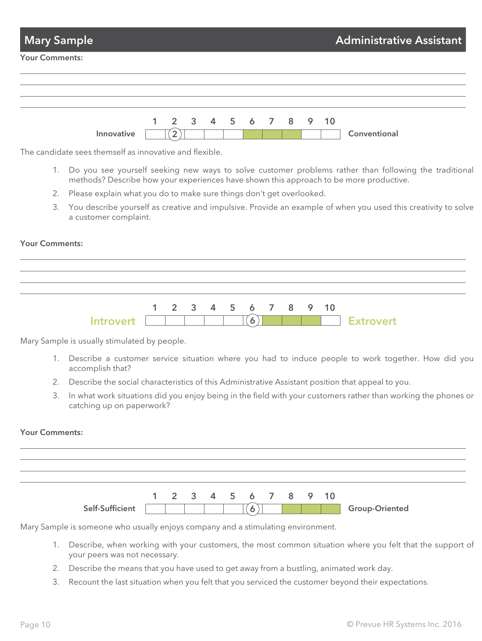| <b>Mary Sample</b>    |            |                           |  |  | Administrative Assistant |  |              |
|-----------------------|------------|---------------------------|--|--|--------------------------|--|--------------|
| <b>Your Comments:</b> |            |                           |  |  |                          |  |              |
|                       |            |                           |  |  |                          |  |              |
|                       |            |                           |  |  |                          |  |              |
|                       | Innovative | 1 2 3 4 5 6 7 8 9 10<br>ာ |  |  |                          |  | Conventional |

The candidate sees themself as innovative and flexible.

- 1. Do you see yourself seeking new ways to solve customer problems rather than following the traditional methods? Describe how your experiences have shown this approach to be more productive.
- 2. Please explain what you do to make sure things don't get overlooked.
- 3. You describe yourself as creative and impulsive. Provide an example of when you used this creativity to solve a customer complaint.

#### Your Comments:



Mary Sample is usually stimulated by people.

- 1. Describe a customer service situation where you had to induce people to work together. How did you accomplish that?
- 2. Describe the social characteristics of this Administrative Assistant position that appeal to you.
- 3. In what work situations did you enjoy being in the field with your customers rather than working the phones or catching up on paperwork?

#### Your Comments:



Mary Sample is someone who usually enjoys company and a stimulating environment.

- 1. Describe, when working with your customers, the most common situation where you felt that the support of your peers was not necessary.
- 2. Describe the means that you have used to get away from a bustling, animated work day.
- 3. Recount the last situation when you felt that you serviced the customer beyond their expectations.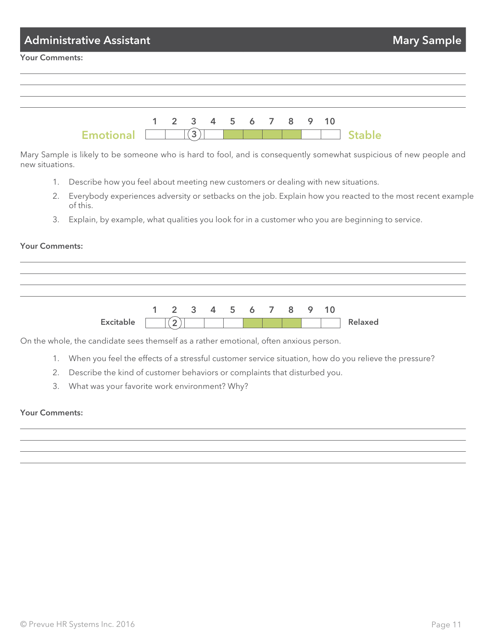| <b>Administrative Assistant</b> |  |              |  | Mary Sample |                      |  |               |  |
|---------------------------------|--|--------------|--|-------------|----------------------|--|---------------|--|
| <b>Your Comments:</b>           |  |              |  |             |                      |  |               |  |
|                                 |  |              |  |             |                      |  |               |  |
|                                 |  |              |  |             |                      |  |               |  |
| <b>Emotional</b>                |  | $\mathbf{3}$ |  |             | 1 2 3 4 5 6 7 8 9 10 |  | <b>Stable</b> |  |

Mary Sample is likely to be someone who is hard to fool, and is consequently somewhat suspicious of new people and new situations.

- 1. Describe how you feel about meeting new customers or dealing with new situations.
- 2. Everybody experiences adversity or setbacks on the job. Explain how you reacted to the most recent example of this.
- 3. Explain, by example, what qualities you look for in a customer who you are beginning to service.

#### Your Comments:

Excitable  $\boxed{\phantom{1}\phantom{1}}$ 1 2 3 4 5 6 7 8 9 10 Relaxed

On the whole, the candidate sees themself as a rather emotional, often anxious person.

- 1. When you feel the effects of a stressful customer service situation, how do you relieve the pressure?
- 2. Describe the kind of customer behaviors or complaints that disturbed you.
- 3. What was your favorite work environment? Why?

#### Your Comments: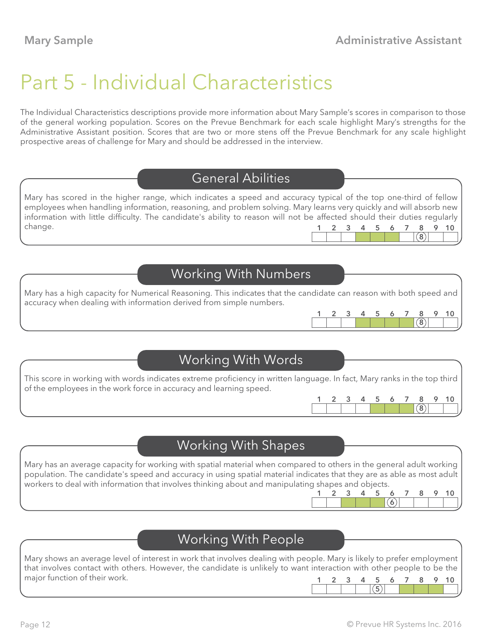# Part 5 - Individual Characteristics

The Individual Characteristics descriptions provide more information about Mary Sample's scores in comparison to those of the general working population. Scores on the Prevue Benchmark for each scale highlight Mary's strengths for the Administrative Assistant position. Scores that are two or more stens off the Prevue Benchmark for any scale highlight prospective areas of challenge for Mary and should be addressed in the interview.

## General Abilities

Mary has scored in the higher range, which indicates a speed and accuracy typical of the top one-third of fellow employees when handling information, reasoning, and problem solving. Mary learns very quickly and will absorb new information with little difficulty. The candidate's ability to reason will not be affected should their duties regularly change.  $(8)$ 1 2 3 4 5 6 7 8 9 10

## Working With Numbers

Mary has a high capacity for Numerical Reasoning. This indicates that the candidate can reason with both speed and accuracy when dealing with information derived from simple numbers.

## Working With Words

This score in working with words indicates extreme proficiency in written language. In fact, Mary ranks in the top third of the employees in the work force in accuracy and learning speed.

Mary has an average capacity for working with spatial material when compared to others in the general adult working population. The candidate's speed and accuracy in using spatial material indicates that they are as able as most adult workers to deal with information that involves thinking about and manipulating shapes and objects.

## Working With People

Mary shows an average level of interest in work that involves dealing with people. Mary is likely to prefer employment that involves contact with others. However, the candidate is unlikely to want interaction with other people to be the major function of their work. 1 2 3 4 5 6 7 8 9 10

6 1 2 3 4 5 6 7 8 9 10

 $(5)$ 

8

 $(8)$ 1 2 3 4 5 6 7 8 9 10

1 2 3 4 5 6 7 8 9 10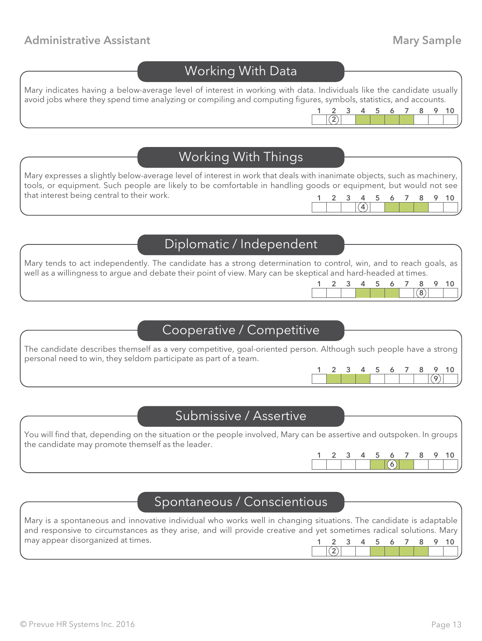#### Administrative Assistant **Mary Sample** Administrative Assistant

#### Working With Data

Mary indicates having a below-average level of interest in working with data. Individuals like the candidate usually avoid jobs where they spend time analyzing or compiling and computing figures, symbols, statistics, and accounts.

## Working With Things

Mary expresses a slightly below-average level of interest in work that deals with inanimate objects, such as machinery, tools, or equipment. Such people are likely to be comfortable in handling goods or equipment, but would not see that interest being central to their work.  $\overline{4}$ 1 2 3 4 5 6 7 8 9 10

#### Diplomatic / Independent

Mary tends to act independently. The candidate has a strong determination to control, win, and to reach goals, as well as a willingness to argue and debate their point of view. Mary can be skeptical and hard-headed at times.

## Cooperative / Competitive

The candidate describes themself as a very competitive, goal-oriented person. Although such people have a strong personal need to win, they seldom participate as part of a team.



1 2 3 4 5 6 7 8 9 10

 $(8)$ 

#### Submissive / Assertive

You will find that, depending on the situation or the people involved, Mary can be assertive and outspoken. In groups the candidate may promote themself as the leader.



#### Spontaneous / Conscientious

Mary is a spontaneous and innovative individual who works well in changing situations. The candidate is adaptable and responsive to circumstances as they arise, and will provide creative and yet sometimes radical solutions. Mary may appear disorganized at times.  $(2)$ 1 2 3 4 5 6 7 8 9 10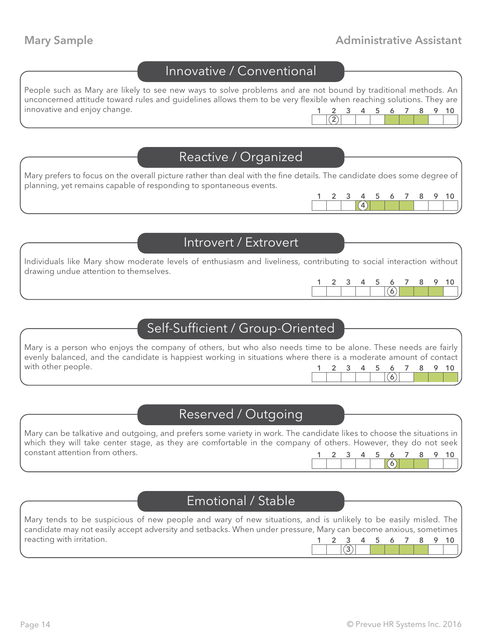#### Mary Sample **Mary Sample Administrative Assistant**

1 2 3 4 5 6 7 8 9 10

 $(6)$ 

1 2 3 4 5 6 7 8 9 10

 $(4)$ 

## Innovative / Conventional

People such as Mary are likely to see new ways to solve problems and are not bound by traditional methods. An unconcerned attitude toward rules and guidelines allows them to be very flexible when reaching solutions. They are innovative and enjoy change.  $(2)$ 1 2 3 4 5 6 7 8 9 10

#### Reactive / Organized

Mary prefers to focus on the overall picture rather than deal with the fine details. The candidate does some degree of planning, yet remains capable of responding to spontaneous events.

#### Introvert / Extrovert

Individuals like Mary show moderate levels of enthusiasm and liveliness, contributing to social interaction without drawing undue attention to themselves.

#### Self-Sufficient / Group-Oriented

Mary is a person who enjoys the company of others, but who also needs time to be alone. These needs are fairly evenly balanced, and the candidate is happiest working in situations where there is a moderate amount of contact with other people.  $\epsilon$ 1 2 3 4 5 6 7 8 9 10

## Reserved / Outgoing

| Mary can be talkative and outgoing, and prefers some variety in work. The candidate likes to choose the situations in |  |  |  |  |                      |
|-----------------------------------------------------------------------------------------------------------------------|--|--|--|--|----------------------|
| which they will take center stage, as they are comfortable in the company of others. However, they do not seek        |  |  |  |  |                      |
| constant attention from others.                                                                                       |  |  |  |  | 1 2 3 4 5 6 7 8 9 10 |
|                                                                                                                       |  |  |  |  |                      |

#### Emotional / Stable

Mary tends to be suspicious of new people and wary of new situations, and is unlikely to be easily misled. The candidate may not easily accept adversity and setbacks. When under pressure, Mary can become anxious, sometimes reacting with irritation.  $\overline{3)}$ 1 2 3 4 5 6 7 8 9 10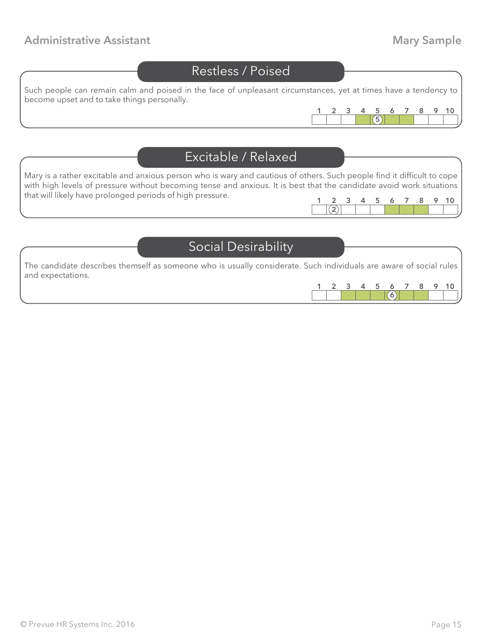#### Administrative Assistant **Mary Sample** Administrative Assistant

## Restless / Poised

Such people can remain calm and poised in the face of unpleasant circumstances, yet at times have a tendency to become upset and to take things personally.



### Excitable / Relaxed

Mary is a rather excitable and anxious person who is wary and cautious of others. Such people find it difficult to cope with high levels of pressure without becoming tense and anxious. It is best that the candidate avoid work situations that will likely have prolonged periods of high pressure.  $\frac{2}{(2)}$ 1 2 3 4 5 6 7 8 9 10

Social Desirability

The candidate describes themself as someone who is usually considerate. Such individuals are aware of social rules and expectations.

|  |  |  |  | $\Omega$ |
|--|--|--|--|----------|
|  |  |  |  |          |